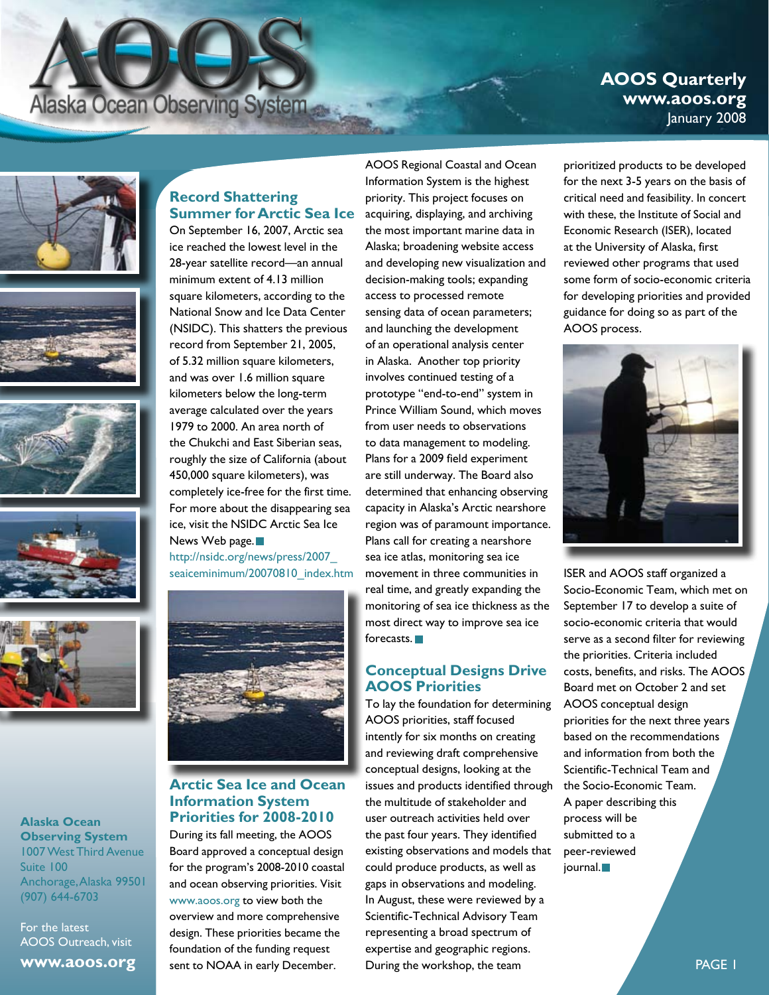# **Alaska Ocean Observing System**

# **AOOS Quarterly www.aoos.org** January 2008











**Alaska Ocean Observing System** 1007 West Third Avenue Suite 100 Anchorage, Alaska 99501 (907) 644-6703

For the latest AOOS Outreach, visit

**www.aoos.org**

# **Record Shattering Summer for Arctic Sea Ice**

On September 16, 2007, Arctic sea ice reached the lowest level in the 28-year satellite record—an annual minimum extent of 4.13 million square kilometers, according to the National Snow and Ice Data Center (NSIDC). This shatters the previous record from September 21, 2005, of 5.32 million square kilometers, and was over 1.6 million square kilometers below the long-term average calculated over the years 1979 to 2000. An area north of the Chukchi and East Siberian seas, roughly the size of California (about 450,000 square kilometers), was completely ice-free for the first time. For more about the disappearing sea ice, visit the NSIDC Arctic Sea Ice News Web page.<sup>11</sup>

http://nsidc.org/news/press/2007\_ seaiceminimum/20070810\_index.htm



# **Arctic Sea Ice and Ocean Information System Priorities for 2008-2010**

During its fall meeting, the AOOS Board approved a conceptual design for the program's 2008-2010 coastal and ocean observing priorities. Visit www.aoos.org to view both the overview and more comprehensive design. These priorities became the foundation of the funding request sent to NOAA in early December.

AOOS Regional Coastal and Ocean Information System is the highest priority. This project focuses on acquiring, displaying, and archiving the most important marine data in Alaska; broadening website access and developing new visualization and decision-making tools; expanding access to processed remote sensing data of ocean parameters; and launching the development of an operational analysis center in Alaska. Another top priority involves continued testing of a prototype "end-to-end" system in Prince William Sound, which moves from user needs to observations to data management to modeling. Plans for a 2009 field experiment are still underway. The Board also determined that enhancing observing capacity in Alaska's Arctic nearshore region was of paramount importance. Plans call for creating a nearshore sea ice atlas, monitoring sea ice movement in three communities in real time, and greatly expanding the monitoring of sea ice thickness as the most direct way to improve sea ice forecasts.<sup>1</sup>

# **Conceptual Designs Drive AOOS Priorities**

To lay the foundation for determining AOOS priorities, staff focused intently for six months on creating and reviewing draft comprehensive conceptual designs, looking at the issues and products identified through the multitude of stakeholder and user outreach activities held over the past four years. They identified existing observations and models that could produce products, as well as gaps in observations and modeling. In August, these were reviewed by a Scientific-Technical Advisory Team representing a broad spectrum of expertise and geographic regions. During the workshop, the team

prioritized products to be developed for the next 3-5 years on the basis of critical need and feasibility. In concert with these, the Institute of Social and Economic Research (ISER), located at the University of Alaska, first reviewed other programs that used some form of socio-economic criteria for developing priorities and provided guidance for doing so as part of the AOOS process.



ISER and AOOS staff organized a Socio-Economic Team, which met on September 17 to develop a suite of socio-economic criteria that would serve as a second filter for reviewing the priorities. Criteria included costs, benefits, and risks. The AOOS Board met on October 2 and set AOOS conceptual design priorities for the next three years based on the recommendations and information from both the Scientific-Technical Team and the Socio-Economic Team. A paper describing this process will be submitted to a peer-reviewed journal.